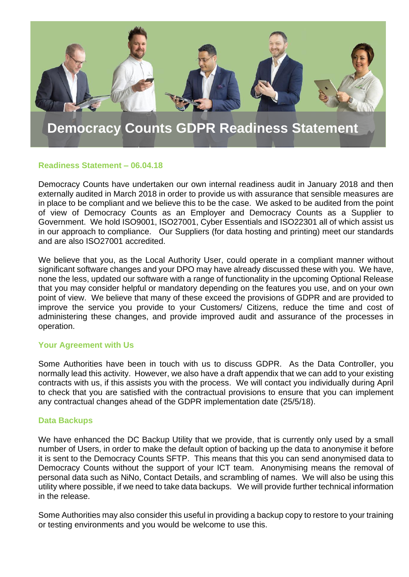

# **Democracy Counts GDPR Readiness Statement**

#### **Readiness Statement – 06.04.18**

Democracy Counts have undertaken our own internal readiness audit in January 2018 and then externally audited in March 2018 in order to provide us with assurance that sensible measures are in place to be compliant and we believe this to be the case. We asked to be audited from the point of view of Democracy Counts as an Employer and Democracy Counts as a Supplier to Government. We hold ISO9001, ISO27001, Cyber Essentials and ISO22301 all of which assist us in our approach to compliance. Our Suppliers (for data hosting and printing) meet our standards and are also ISO27001 accredited.

We believe that you, as the Local Authority User, could operate in a compliant manner without significant software changes and your DPO may have already discussed these with you. We have, none the less, updated our software with a range of functionality in the upcoming Optional Release that you may consider helpful or mandatory depending on the features you use, and on your own point of view. We believe that many of these exceed the provisions of GDPR and are provided to improve the service you provide to your Customers/ Citizens, reduce the time and cost of administering these changes, and provide improved audit and assurance of the processes in operation.

#### **Your Agreement with Us**

Some Authorities have been in touch with us to discuss GDPR. As the Data Controller, you normally lead this activity. However, we also have a draft appendix that we can add to your existing contracts with us, if this assists you with the process. We will contact you individually during April to check that you are satisfied with the contractual provisions to ensure that you can implement any contractual changes ahead of the GDPR implementation date (25/5/18).

#### **Data Backups**

We have enhanced the DC Backup Utility that we provide, that is currently only used by a small number of Users, in order to make the default option of backing up the data to anonymise it before it is sent to the Democracy Counts SFTP. This means that this you can send anonymised data to Democracy Counts without the support of your ICT team. Anonymising means the removal of personal data such as NiNo, Contact Details, and scrambling of names. We will also be using this utility where possible, if we need to take data backups. We will provide further technical information in the release.

Some Authorities may also consider this useful in providing a backup copy to restore to your training or testing environments and you would be welcome to use this.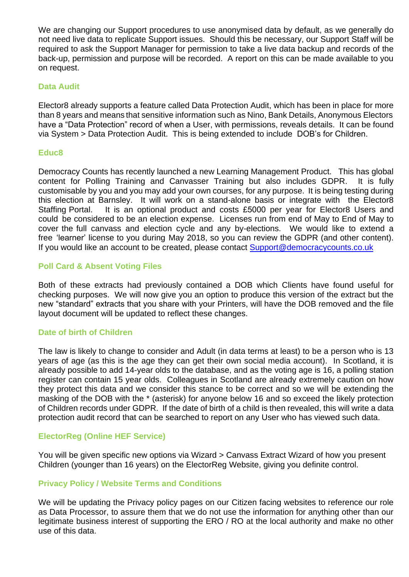We are changing our Support procedures to use anonymised data by default, as we generally do not need live data to replicate Support issues. Should this be necessary, our Support Staff will be required to ask the Support Manager for permission to take a live data backup and records of the back-up, permission and purpose will be recorded. A report on this can be made available to you on request.

## **Data Audit**

Elector8 already supports a feature called Data Protection Audit, which has been in place for more than 8 years and means that sensitive information such as Nino, Bank Details, Anonymous Electors have a "Data Protection" record of when a User, with permissions, reveals details. It can be found via System > Data Protection Audit. This is being extended to include DOB's for Children.

#### **Educ8**

Democracy Counts has recently launched a new Learning Management Product. This has global content for Polling Training and Canvasser Training but also includes GDPR. It is fully customisable by you and you may add your own courses, for any purpose. It is being testing during this election at Barnsley. It will work on a stand-alone basis or integrate with the Elector8 Staffing Portal. It is an optional product and costs £5000 per year for Elector8 Users and could be considered to be an election expense. Licenses run from end of May to End of May to cover the full canvass and election cycle and any by-elections. We would like to extend a free 'learner' license to you during May 2018, so you can review the GDPR (and other content). If you would like an account to be created, pl[ease contact Support@democracyc](mailto:Support@democracycounts.co.uk)ounts.co.uk

## **Poll Card & Absent Voting Files**

Both of these extracts had previously contained a DOB which Clients have found useful for checking purposes. We will now give you an option to produce this version of the extract but the new "standard" extracts that you share with your Printers, will have the DOB removed and the file layout document will be updated to reflect these changes.

# **Date of birth of Children**

The law is likely to change to consider and Adult (in data terms at least) to be a person who is 13 years of age (as this is the age they can get their own social media account). In Scotland, it is already possible to add 14-year olds to the database, and as the voting age is 16, a polling station register can contain 15 year olds. Colleagues in Scotland are already extremely caution on how they protect this data and we consider this stance to be correct and so we will be extending the masking of the DOB with the \* (asterisk) for anyone below 16 and so exceed the likely protection of Children records under GDPR. If the date of birth of a child is then revealed, this will write a data protection audit record that can be searched to report on any User who has viewed such data.

#### **ElectorReg (Online HEF Service)**

You will be given specific new options via Wizard > Canvass Extract Wizard of how you present Children (younger than 16 years) on the ElectorReg Website, giving you definite control.

# **Privacy Policy / Website Terms and Conditions**

We will be updating the Privacy policy pages on our Citizen facing websites to reference our role as Data Processor, to assure them that we do not use the information for anything other than our legitimate business interest of supporting the ERO / RO at the local authority and make no other use of this data.